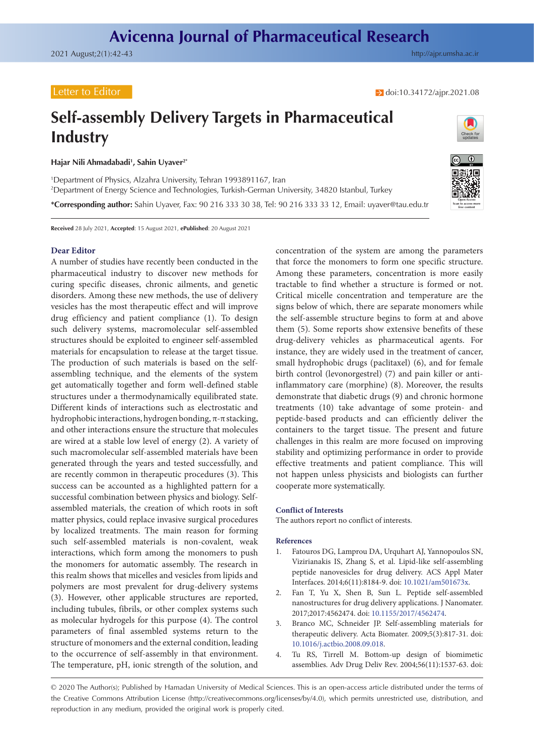## Letter to Editor

→ doi[:10.34172/ajpr.2021.08](https://doi.org/10.34172/ajpr.2021.08)

# **Self-assembly Delivery Targets in Pharmaceutical Industry**

**Hajar Nili Ahmadabadi1 , Sahin Uyaver2\***

1 Department of Physics, Alzahra University, Tehran 1993891167, Iran 2 Department of Energy Science and Technologies, Turkish-German University, 34820 Istanbul, Turkey **\*Corresponding author:** Sahin Uyaver, Fax: 90 216 333 30 38, Tel: 90 216 333 33 12, Email: uyaver@tau.edu.tr

**Received** 28 July 2021, **Accepted**: 15 August 2021, **ePublished**: 20 August 2021

### **Dear Editor**

A number of studies have recently been conducted in the pharmaceutical industry to discover new methods for curing specific diseases, chronic ailments, and genetic disorders. Among these new methods, the use of delivery vesicles has the most therapeutic effect and will improve drug efficiency and patient compliance (1). To design such delivery systems, macromolecular self-assembled structures should be exploited to engineer self-assembled materials for encapsulation to release at the target tissue. The production of such materials is based on the selfassembling technique, and the elements of the system get automatically together and form well-defined stable structures under a thermodynamically equilibrated state. Different kinds of interactions such as electrostatic and hydrophobic interactions, hydrogen bonding, π-π stacking, and other interactions ensure the structure that molecules are wired at a stable low level of energy (2). A variety of such macromolecular self-assembled materials have been generated through the years and tested successfully, and are recently common in therapeutic procedures (3). This success can be accounted as a highlighted pattern for a successful combination between physics and biology. Selfassembled materials, the creation of which roots in soft matter physics, could replace invasive surgical procedures by localized treatments. The main reason for forming such self-assembled materials is non-covalent, weak interactions, which form among the monomers to push the monomers for automatic assembly. The research in this realm shows that micelles and vesicles from lipids and polymers are most prevalent for drug-delivery systems (3). However, other applicable structures are reported, including tubules, fibrils, or other complex systems such as molecular hydrogels for this purpose (4). The control parameters of final assembled systems return to the structure of monomers and the external condition, leading to the occurrence of self-assembly in that environment. The temperature, pH, ionic strength of the solution, and

**Open Access Scan to access more** free content

concentration of the system are among the parameters that force the monomers to form one specific structure. Among these parameters, concentration is more easily tractable to find whether a structure is formed or not. Critical micelle concentration and temperature are the signs below of which, there are separate monomers while the self-assemble structure begins to form at and above them (5). Some reports show extensive benefits of these drug-delivery vehicles as pharmaceutical agents. For instance, they are widely used in the treatment of cancer, small hydrophobic drugs (paclitaxel) (6), and for female birth control (levonorgestrel) (7) and pain killer or antiinflammatory care (morphine) (8). Moreover, the results demonstrate that diabetic drugs (9) and chronic hormone treatments (10) take advantage of some protein- and peptide-based products and can efficiently deliver the containers to the target tissue. The present and future challenges in this realm are more focused on improving stability and optimizing performance in order to provide effective treatments and patient compliance. This will not happen unless physicists and biologists can further cooperate more systematically.

#### **Conflict of Interests**

The authors report no conflict of interests.

#### **References**

- 1. Fatouros DG, Lamprou DA, Urquhart AJ, Yannopoulos SN, Vizirianakis IS, Zhang S, et al. Lipid-like self-assembling peptide nanovesicles for drug delivery. ACS Appl Mater Interfaces. 2014;6(11):8184-9. doi: [10.1021/am501673x](https://doi.org/10.1021/am501673x).
- 2. Fan T, Yu X, Shen B, Sun L. Peptide self-assembled nanostructures for drug delivery applications. J Nanomater. 2017;2017:4562474. doi: [10.1155/2017/4562474.](https://doi.org/10.1155/2017/4562474)
- 3. Branco MC, Schneider JP. Self-assembling materials for therapeutic delivery. Acta Biomater. 2009;5(3):817-31. doi: [10.1016/j.actbio.2008.09.018.](https://doi.org/10.1016/j.actbio.2008.09.018)
- 4. Tu RS, Tirrell M. Bottom-up design of biomimetic assemblies. Adv Drug Deliv Rev. 2004;56(11):1537-63. doi:

<sup>© 2020</sup> The Author(s); Published by Hamadan University of Medical Sciences. This is an open-access article distributed under the terms of the Creative Commons Attribution License [\(http://creativecommons.org/licenses/by/4.0](http://creativecommons.org/licenses/by/4.0)), which permits unrestricted use, distribution, and reproduction in any medium, provided the original work is properly cited.